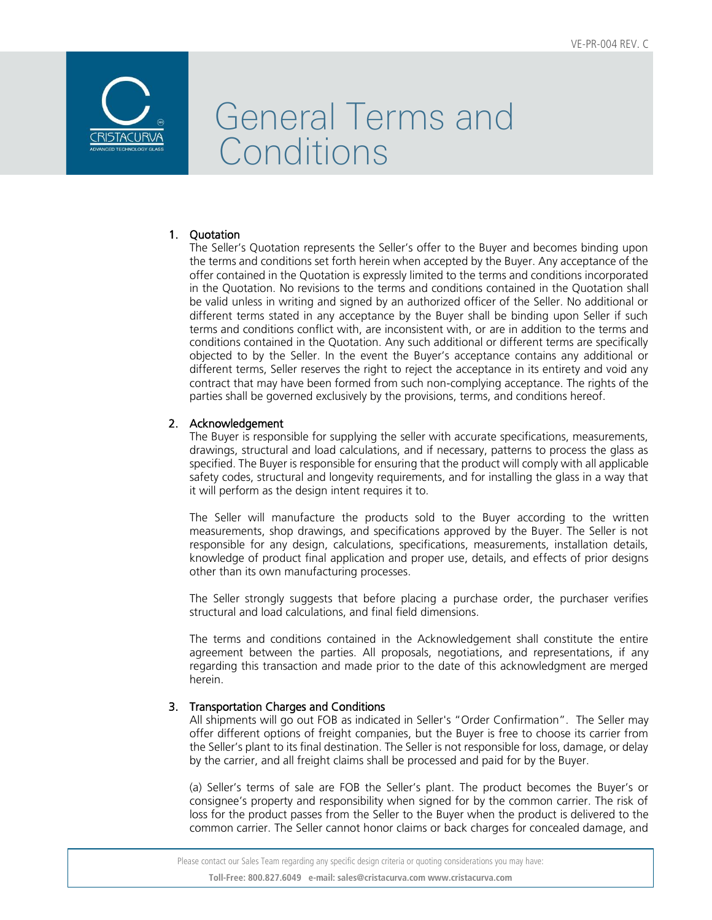

## 1. Quotation

The Seller's Quotation represents the Seller's offer to the Buyer and becomes binding upon the terms and conditions set forth herein when accepted by the Buyer. Any acceptance of the offer contained in the Quotation is expressly limited to the terms and conditions incorporated in the Quotation. No revisions to the terms and conditions contained in the Quotation shall be valid unless in writing and signed by an authorized officer of the Seller. No additional or different terms stated in any acceptance by the Buyer shall be binding upon Seller if such terms and conditions conflict with, are inconsistent with, or are in addition to the terms and conditions contained in the Quotation. Any such additional or different terms are specifically objected to by the Seller. In the event the Buyer's acceptance contains any additional or different terms, Seller reserves the right to reject the acceptance in its entirety and void any contract that may have been formed from such non-complying acceptance. The rights of the parties shall be governed exclusively by the provisions, terms, and conditions hereof.

### 2. Acknowledgement

The Buyer is responsible for supplying the seller with accurate specifications, measurements, drawings, structural and load calculations, and if necessary, patterns to process the glass as specified. The Buyer is responsible for ensuring that the product will comply with all applicable safety codes, structural and longevity requirements, and for installing the glass in a way that it will perform as the design intent requires it to.

The Seller will manufacture the products sold to the Buyer according to the written measurements, shop drawings, and specifications approved by the Buyer. The Seller is not responsible for any design, calculations, specifications, measurements, installation details, knowledge of product final application and proper use, details, and effects of prior designs other than its own manufacturing processes.

The Seller strongly suggests that before placing a purchase order, the purchaser verifies structural and load calculations, and final field dimensions.

The terms and conditions contained in the Acknowledgement shall constitute the entire agreement between the parties. All proposals, negotiations, and representations, if any regarding this transaction and made prior to the date of this acknowledgment are merged herein.

## 3. Transportation Charges and Conditions

All shipments will go out FOB as indicated in Seller's "Order Confirmation". The Seller may offer different options of freight companies, but the Buyer is free to choose its carrier from the Seller's plant to its final destination. The Seller is not responsible for loss, damage, or delay by the carrier, and all freight claims shall be processed and paid for by the Buyer.

(a) Seller's terms of sale are FOB the Seller's plant. The product becomes the Buyer's or consignee's property and responsibility when signed for by the common carrier. The risk of loss for the product passes from the Seller to the Buyer when the product is delivered to the common carrier. The Seller cannot honor claims or back charges for concealed damage, and

 Please contact our Sales Team regarding any specific design criteria or quoting considerations you may have: **Toll-Free: 800.827.6049 e-mail: sales@cristacurva.com www.cristacurva.com**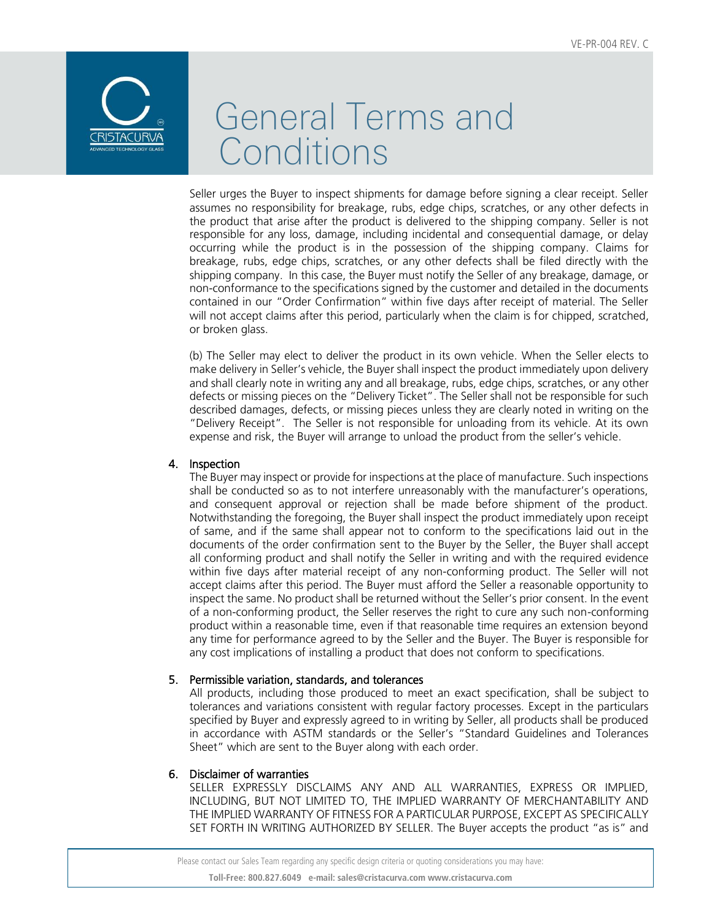

Seller urges the Buyer to inspect shipments for damage before signing a clear receipt. Seller assumes no responsibility for breakage, rubs, edge chips, scratches, or any other defects in the product that arise after the product is delivered to the shipping company. Seller is not responsible for any loss, damage, including incidental and consequential damage, or delay occurring while the product is in the possession of the shipping company. Claims for breakage, rubs, edge chips, scratches, or any other defects shall be filed directly with the shipping company. In this case, the Buyer must notify the Seller of any breakage, damage, or non-conformance to the specifications signed by the customer and detailed in the documents contained in our "Order Confirmation" within five days after receipt of material. The Seller will not accept claims after this period, particularly when the claim is for chipped, scratched, or broken glass.

(b) The Seller may elect to deliver the product in its own vehicle. When the Seller elects to make delivery in Seller's vehicle, the Buyer shall inspect the product immediately upon delivery and shall clearly note in writing any and all breakage, rubs, edge chips, scratches, or any other defects or missing pieces on the "Delivery Ticket". The Seller shall not be responsible for such described damages, defects, or missing pieces unless they are clearly noted in writing on the "Delivery Receipt". The Seller is not responsible for unloading from its vehicle. At its own expense and risk, the Buyer will arrange to unload the product from the seller's vehicle.

### 4. Inspection

The Buyer may inspect or provide for inspections at the place of manufacture. Such inspections shall be conducted so as to not interfere unreasonably with the manufacturer's operations, and consequent approval or rejection shall be made before shipment of the product. Notwithstanding the foregoing, the Buyer shall inspect the product immediately upon receipt of same, and if the same shall appear not to conform to the specifications laid out in the documents of the order confirmation sent to the Buyer by the Seller, the Buyer shall accept all conforming product and shall notify the Seller in writing and with the required evidence within five days after material receipt of any non-conforming product. The Seller will not accept claims after this period. The Buyer must afford the Seller a reasonable opportunity to inspect the same. No product shall be returned without the Seller's prior consent. In the event of a non-conforming product, the Seller reserves the right to cure any such non-conforming product within a reasonable time, even if that reasonable time requires an extension beyond any time for performance agreed to by the Seller and the Buyer. The Buyer is responsible for any cost implications of installing a product that does not conform to specifications.

#### 5. Permissible variation, standards, and tolerances

All products, including those produced to meet an exact specification, shall be subject to tolerances and variations consistent with regular factory processes. Except in the particulars specified by Buyer and expressly agreed to in writing by Seller, all products shall be produced in accordance with ASTM standards or the Seller's "Standard Guidelines and Tolerances Sheet" which are sent to the Buyer along with each order.

#### 6. Disclaimer of warranties

SELLER EXPRESSLY DISCLAIMS ANY AND ALL WARRANTIES, EXPRESS OR IMPLIED, INCLUDING, BUT NOT LIMITED TO, THE IMPLIED WARRANTY OF MERCHANTABILITY AND THE IMPLIED WARRANTY OF FITNESS FOR A PARTICULAR PURPOSE, EXCEPT AS SPECIFICALLY SET FORTH IN WRITING AUTHORIZED BY SELLER. The Buyer accepts the product "as is" and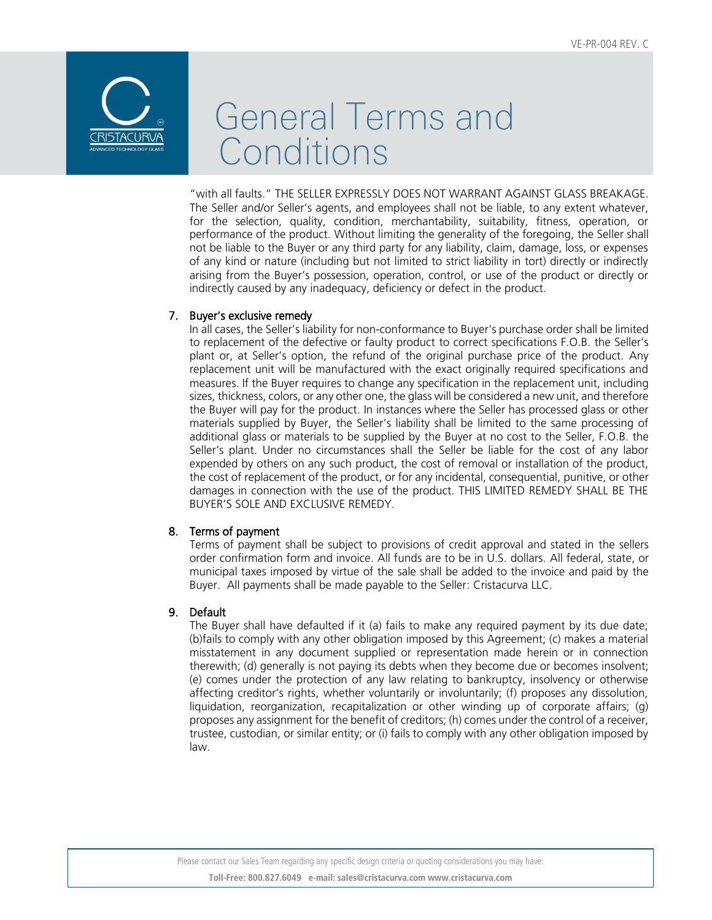

"with all faults." THE SELLER EXPRESSLY DOES NOT WARRANT AGAINST GLASS BREAKAGE. The Seller and/or Seller's agents, and employees shall not be liable, to any extent whatever, for the selection, quality, condition, merchantability, suitability, fitness, operation, or performance of the product. Without limiting the generality of the foregoing, the Seller shall not be liable to the Buyer or any third party for any liability, claim, damage, loss, or expenses of any kind or nature (including but not limited to strict liability in tort) directly or indirectly arising from the Buyer's possession, operation, control, or use of the product or directly or indirectly caused by any inadequacy, deficiency or defect in the product.

### 7. Buyer's exclusive remedy

In all cases, the Seller's liability for non-conformance to Buyer's purchase order shall be limited to replacement of the defective or faulty product to correct specifications F.O.B. the Seller's plant or, at Seller's option, the refund of the original purchase price of the product. Any replacement unit will be manufactured with the exact originally required specifications and measures. If the Buyer requires to change any specification in the replacement unit, including sizes, thickness, colors, or any other one, the glass will be considered a new unit, and therefore the Buyer will pay for the product. In instances where the Seller has processed glass or other materials supplied by Buyer, the Seller's liability shall be limited to the same processing of additional glass or materials to be supplied by the Buyer at no cost to the Seller, F.O.B. the Seller's plant. Under no circumstances shall the Seller be liable for the cost of any labor expended by others on any such product, the cost of removal or installation of the product, the cost of replacement of the product, or for any incidental, consequential, punitive, or other damages in connection with the use of the product. THIS LIMITED REMEDY SHALL BE THE BUYER'S SOLE AND EXCLUSIVE REMEDY.

### 8. Terms of payment

Terms of payment shall be subject to provisions of credit approval and stated in the sellers order confirmation form and invoice. All funds are to be in U.S. dollars. All federal, state, or municipal taxes imposed by virtue of the sale shall be added to the invoice and paid by the Buyer. All payments shall be made payable to the Seller: Cristacurva LLC.

### 9. Default

The Buyer shall have defaulted if it (a) fails to make any required payment by its due date; (b)fails to comply with any other obligation imposed by this Agreement; (c) makes a material misstatement in any document supplied or representation made herein or in connection therewith; (d) generally is not paying its debts when they become due or becomes insolvent; (e) comes under the protection of any law relating to bankruptcy, insolvency or otherwise affecting creditor's rights, whether voluntarily or involuntarily; (f) proposes any dissolution, liquidation, reorganization, recapitalization or other winding up of corporate affairs; (g) proposes any assignment for the benefit of creditors; (h) comes under the control of a receiver, trustee, custodian, or similar entity; or (i) fails to comply with any other obligation imposed by law.

Please contact our Sales Team regarding any specific design criteria or quoting considerations you may have: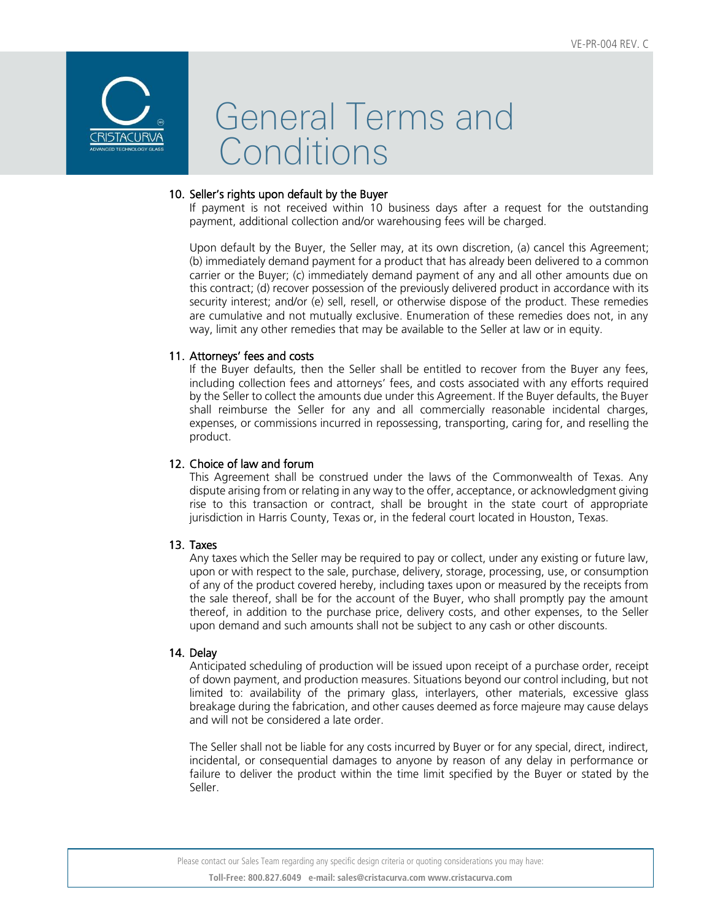

### 10. Seller's rights upon default by the Buyer

If payment is not received within 10 business days after a request for the outstanding payment, additional collection and/or warehousing fees will be charged.

Upon default by the Buyer, the Seller may, at its own discretion, (a) cancel this Agreement; (b) immediately demand payment for a product that has already been delivered to a common carrier or the Buyer; (c) immediately demand payment of any and all other amounts due on this contract; (d) recover possession of the previously delivered product in accordance with its security interest; and/or (e) sell, resell, or otherwise dispose of the product. These remedies are cumulative and not mutually exclusive. Enumeration of these remedies does not, in any way, limit any other remedies that may be available to the Seller at law or in equity.

### 11. Attorneys' fees and costs

If the Buyer defaults, then the Seller shall be entitled to recover from the Buyer any fees, including collection fees and attorneys' fees, and costs associated with any efforts required by the Seller to collect the amounts due under this Agreement. If the Buyer defaults, the Buyer shall reimburse the Seller for any and all commercially reasonable incidental charges, expenses, or commissions incurred in repossessing, transporting, caring for, and reselling the product.

### 12. Choice of law and forum

This Agreement shall be construed under the laws of the Commonwealth of Texas. Any dispute arising from or relating in any way to the offer, acceptance, or acknowledgment giving rise to this transaction or contract, shall be brought in the state court of appropriate jurisdiction in Harris County, Texas or, in the federal court located in Houston, Texas.

### 13. Taxes

Any taxes which the Seller may be required to pay or collect, under any existing or future law, upon or with respect to the sale, purchase, delivery, storage, processing, use, or consumption of any of the product covered hereby, including taxes upon or measured by the receipts from the sale thereof, shall be for the account of the Buyer, who shall promptly pay the amount thereof, in addition to the purchase price, delivery costs, and other expenses, to the Seller upon demand and such amounts shall not be subject to any cash or other discounts.

### 14. Delay

Anticipated scheduling of production will be issued upon receipt of a purchase order, receipt of down payment, and production measures. Situations beyond our control including, but not limited to: availability of the primary glass, interlayers, other materials, excessive glass breakage during the fabrication, and other causes deemed as force majeure may cause delays and will not be considered a late order.

The Seller shall not be liable for any costs incurred by Buyer or for any special, direct, indirect, incidental, or consequential damages to anyone by reason of any delay in performance or failure to deliver the product within the time limit specified by the Buyer or stated by the Seller.

Please contact our Sales Team regarding any specific design criteria or quoting considerations you may have: